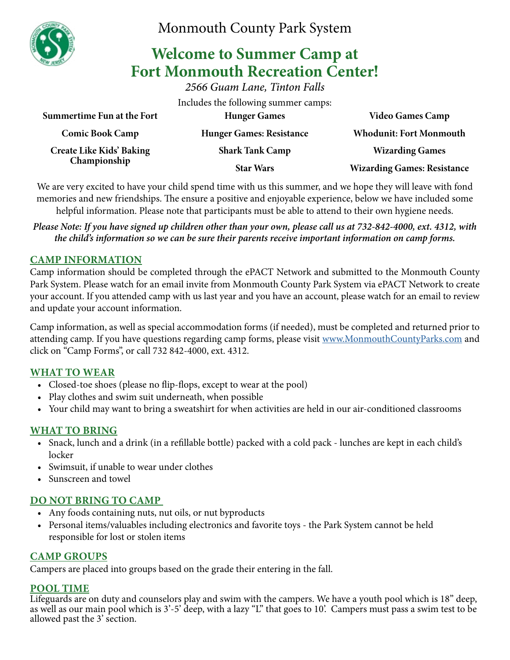

Monmouth County Park System

# **Welcome to Summer Camp at Fort Monmouth Recreation Center!**

*2566 Guam Lane, Tinton Falls*

Includes the following summer camps:

| <b>Whodunit: Fort Monmouth</b>     |
|------------------------------------|
| <b>Wizarding Games</b>             |
| <b>Wizarding Games: Resistance</b> |
|                                    |

We are very excited to have your child spend time with us this summer, and we hope they will leave with fond memories and new friendships. The ensure a positive and enjoyable experience, below we have included some helpful information. Please note that participants must be able to attend to their own hygiene needs.

*Please Note: If you have signed up children other than your own, please call us at 732-842-4000, ext. 4312, with the child's information so we can be sure their parents receive important information on camp forms.*

# **CAMP INFORMATION**

Camp information should be completed through the ePACT Network and submitted to the Monmouth County Park System. Please watch for an email invite from Monmouth County Park System via ePACT Network to create your account. If you attended camp with us last year and you have an account, please watch for an email to review and update your account information.

Camp information, as well as special accommodation forms (if needed), must be completed and returned prior to attending camp. If you have questions regarding camp forms, please visit [www.MonmouthCountyParks.com](http://www.MonmouthCountyParks.com) and click on "Camp Forms", or call 732 842-4000, ext. 4312.

# **WHAT TO WEAR**

- Closed-toe shoes (please no flip-flops, except to wear at the pool)
- Play clothes and swim suit underneath, when possible
- Your child may want to bring a sweatshirt for when activities are held in our air-conditioned classrooms

## **WHAT TO BRING**

- Snack, lunch and a drink (in a refillable bottle) packed with a cold pack lunches are kept in each child's locker
- Swimsuit, if unable to wear under clothes
- Sunscreen and towel

# **DO NOT BRING TO CAMP**

- Any foods containing nuts, nut oils, or nut byproducts
- Personal items/valuables including electronics and favorite toys the Park System cannot be held responsible for lost or stolen items

## **CAMP GROUPS**

Campers are placed into groups based on the grade their entering in the fall.

## **POOL TIME**

Lifeguards are on duty and counselors play and swim with the campers. We have a youth pool which is 18" deep, as well as our main pool which is 3'-5' deep, with a lazy "L" that goes to 10'. Campers must pass a swim test to be allowed past the 3' section.